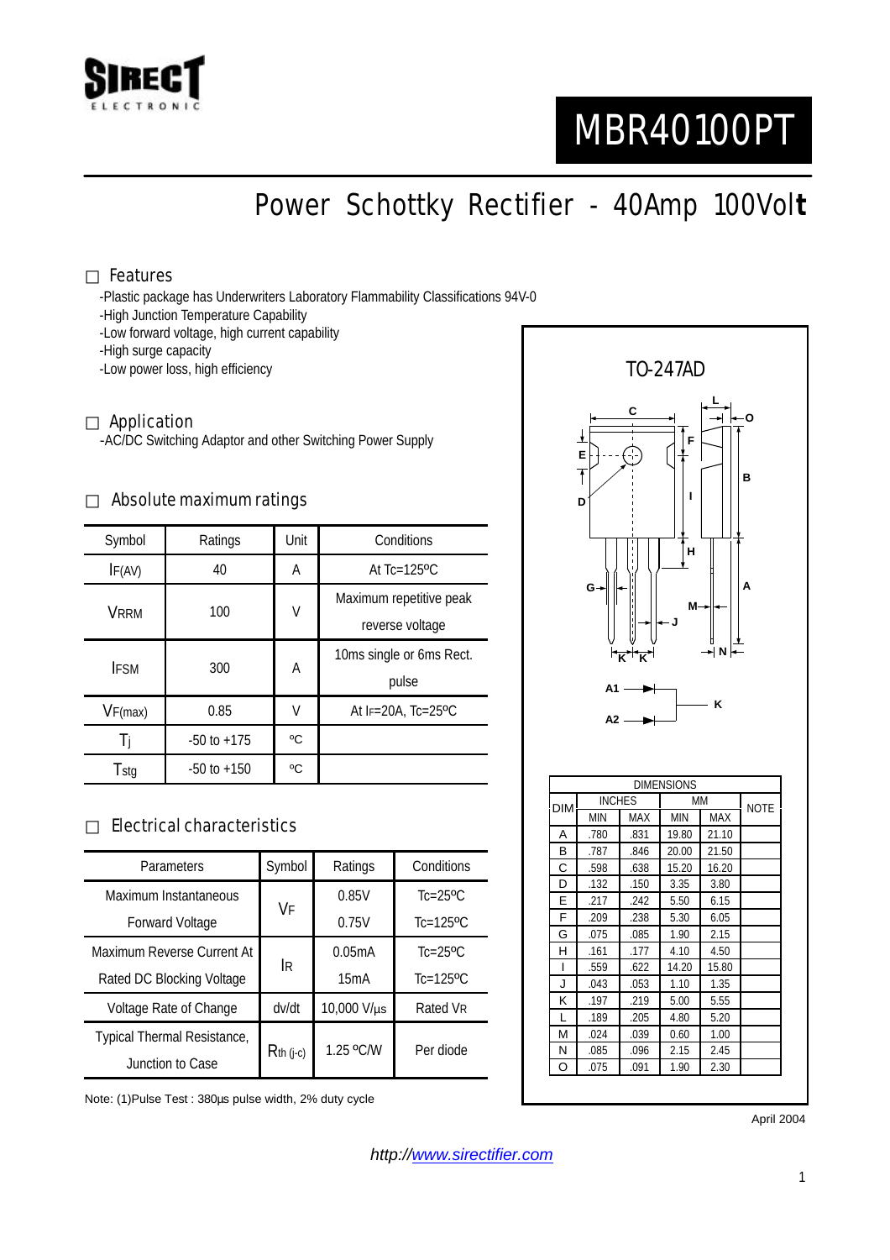

# MBR40100PT

Power Schottky Rectifier - 40Amp 100Vol**t**

#### Features

-Plastic package has Underwriters Laboratory Flammability Classifications 94V-0

- -High Junction Temperature Capability
- -Low forward voltage, high current capability
- -High surge capacity

-Low power loss, high efficiency

#### Application

-AC/DC Switching Adaptor and other Switching Power Supply

#### Absolute maximum ratings

| Symbol      | Ratings         | Unit | Conditions                                 |  |
|-------------|-----------------|------|--------------------------------------------|--|
| IF(AV)      | 40              | Α    | At $Tc=125$ <sup>o</sup> $C$               |  |
| <b>VRRM</b> | 100             | V    | Maximum repetitive peak<br>reverse voltage |  |
| <b>IFSM</b> | 300             | А    | 10ms single or 6ms Rect.<br>pulse          |  |
| VF(max)     | 0.85            | V    | At $F=20A$ , Tc=25°C                       |  |
|             | $-50$ to $+175$ | °C   |                                            |  |
| Tstg        | $-50$ to $+150$ | °C   |                                            |  |

### Electrical characteristics

| Parameters                  | Symbol      | Ratings     | Conditions                |
|-----------------------------|-------------|-------------|---------------------------|
| Maximum Instantaneous       | VF          | 0.85V       | $Tc=25$ <sup>o</sup> $C$  |
| <b>Forward Voltage</b>      |             | 0.75V       | $Tc=125$ <sup>o</sup> $C$ |
| Maximum Reverse Current At  | lR.         | 0.05mA      | $Tc=25$ <sup>o</sup> $C$  |
| Rated DC Blocking Voltage   |             | 15mA        | $Tc=125$ <sup>o</sup> C   |
| Voltage Rate of Change      | dv/dt       | 10,000 V/µs | Rated VR                  |
| Typical Thermal Resistance, | $Rth$ (j-c) | 1.25 °C/W   | Per diode                 |
| Junction to Case            |             |             |                           |

Note: (1)Pulse Test : 380µs pulse width, 2% duty cycle



F .209 .238 5.30 6.05 G .075 .085 1.90 2.15 H .161 .177 4.10 4.50 I .559 .622 14.20 15.80 J .043 .053 1.10 1.35 K .197 .219 5.00 5.55 L .189 .205 4.80 5.20 M .024 .039 0.60 1.00 N .085 .096 2.15 2.45 O .075 .091 1.90 2.30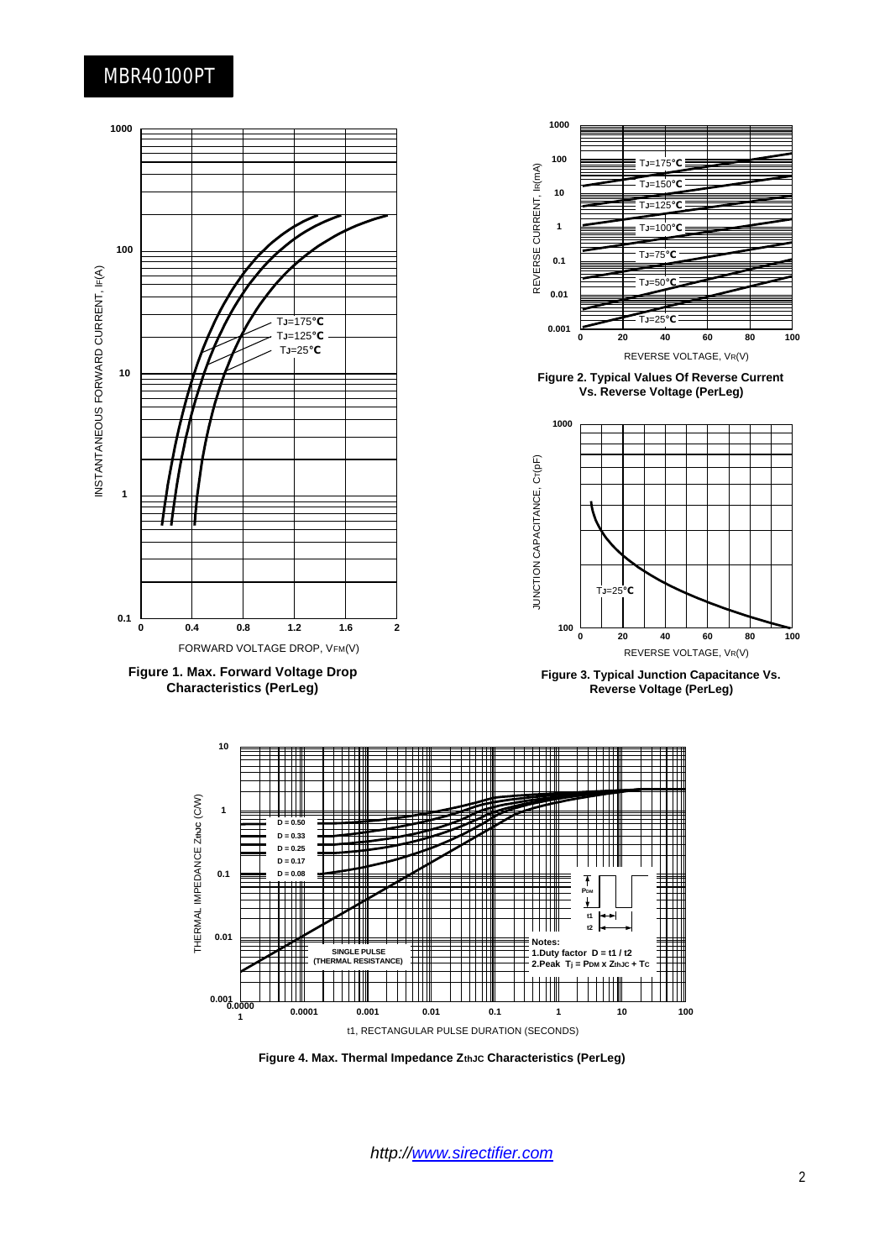## MBR40100PT



*http://www.sirectifier.com*